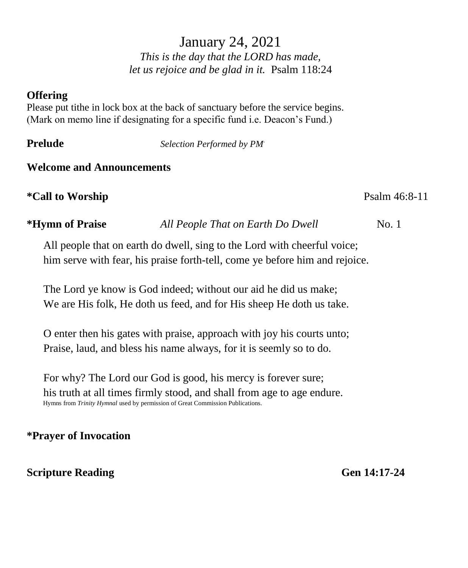# January 24, 2021

*This is the day that the LORD has made, let us rejoice and be glad in it.* Psalm 118:24

#### **Offering**

Please put tithe in lock box at the back of sanctuary before the service begins. (Mark on memo line if designating for a specific fund i.e. Deacon's Fund.)

**Prelude** *Selection Performed by PM*.

#### **Welcome and Announcements**

**\*Call to Worship** Psalm 46:8-11

**\*Hymn of Praise** *All People That on Earth Do Dwell* No. 1

All people that on earth do dwell, sing to the Lord with cheerful voice; him serve with fear, his praise forth-tell, come ye before him and rejoice.

The Lord ye know is God indeed; without our aid he did us make; We are His folk, He doth us feed, and for His sheep He doth us take.

O enter then his gates with praise, approach with joy his courts unto; Praise, laud, and bless his name always, for it is seemly so to do.

For why? The Lord our God is good, his mercy is forever sure; his truth at all times firmly stood, and shall from age to age endure. Hymns from *Trinity Hymnal* used by permission of Great Commission Publications.

### **\*Prayer of Invocation**

#### **Scripture Reading Gen 14:17-24**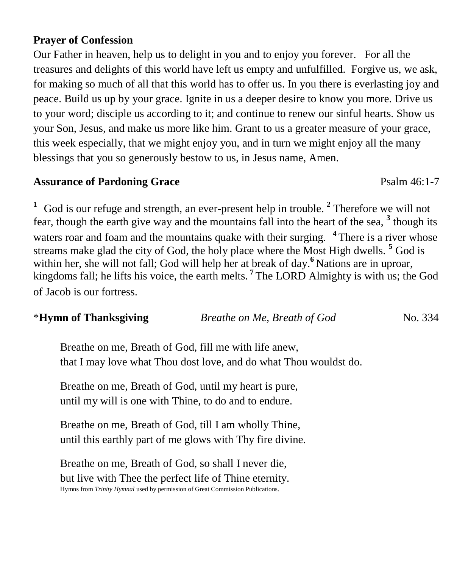#### **Prayer of Confession**

Our Father in heaven, help us to delight in you and to enjoy you forever. For all the treasures and delights of this world have left us empty and unfulfilled. Forgive us, we ask, for making so much of all that this world has to offer us. In you there is everlasting joy and peace. Build us up by your grace. Ignite in us a deeper desire to know you more. Drive us to your word; disciple us according to it; and continue to renew our sinful hearts. Show us your Son, Jesus, and make us more like him. Grant to us a greater measure of your grace, this week especially, that we might enjoy you, and in turn we might enjoy all the many blessings that you so generously bestow to us, in Jesus name, Amen.

#### **Assurance of Pardoning Grace**  Psalm 46:1-7

<sup>1</sup> God is our refuge and strength, an ever-present help in trouble.<sup>2</sup> Therefore we will not fear, though the earth give way and the mountains fall into the heart of the sea, **<sup>3</sup>** though its waters roar and foam and the mountains quake with their surging. <sup>4</sup>There is a river whose streams make glad the city of God, the holy place where the Most High dwells. **<sup>5</sup>** God is within her, she will not fall; God will help her at break of day.<sup>6</sup> Nations are in uproar, kingdoms fall; he lifts his voice, the earth melts. **7** The LORD Almighty is with us; the God of Jacob is our fortress.

#### \***Hymn of Thanksgiving** *Breathe on Me, Breath of God*No. 334

Breathe on me, Breath of God, fill me with life anew, that I may love what Thou dost love, and do what Thou wouldst do.

Breathe on me, Breath of God, until my heart is pure, until my will is one with Thine, to do and to endure.

Breathe on me, Breath of God, till I am wholly Thine, until this earthly part of me glows with Thy fire divine.

Breathe on me, Breath of God, so shall I never die, but live with Thee the perfect life of Thine eternity. Hymns from *Trinity Hymnal* used by permission of Great Commission Publications.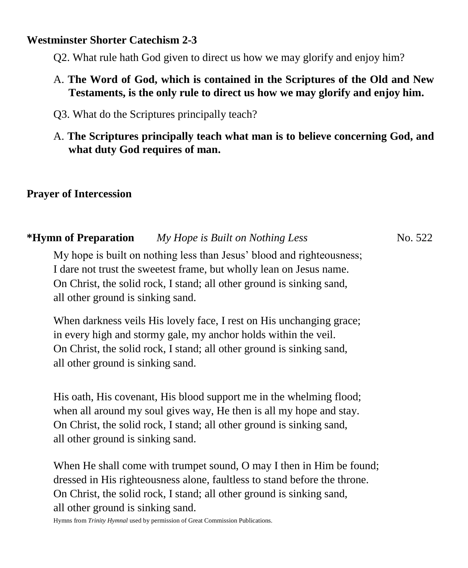#### **Westminster Shorter Catechism 2-3**

Q2. What rule hath God given to direct us how we may glorify and enjoy him?

- A. **The Word of God, which is contained in the Scriptures of the Old and New Testaments, is the only rule to direct us how we may glorify and enjoy him.**
- Q3. What do the Scriptures principally teach?
- A. **The Scriptures principally teach what man is to believe concerning God, and what duty God requires of man.**

#### **Prayer of Intercession**

# **\*Hymn of Preparation** *My Hope is Built on Nothing Less*No. 522

My hope is built on nothing less than Jesus' blood and righteousness; I dare not trust the sweetest frame, but wholly lean on Jesus name. On Christ, the solid rock, I stand; all other ground is sinking sand, all other ground is sinking sand.

When darkness veils His lovely face, I rest on His unchanging grace; in every high and stormy gale, my anchor holds within the veil. On Christ, the solid rock, I stand; all other ground is sinking sand, all other ground is sinking sand.

His oath, His covenant, His blood support me in the whelming flood; when all around my soul gives way, He then is all my hope and stay. On Christ, the solid rock, I stand; all other ground is sinking sand, all other ground is sinking sand.

When He shall come with trumpet sound, O may I then in Him be found; dressed in His righteousness alone, faultless to stand before the throne. On Christ, the solid rock, I stand; all other ground is sinking sand, all other ground is sinking sand.

Hymns from *Trinity Hymnal* used by permission of Great Commission Publications.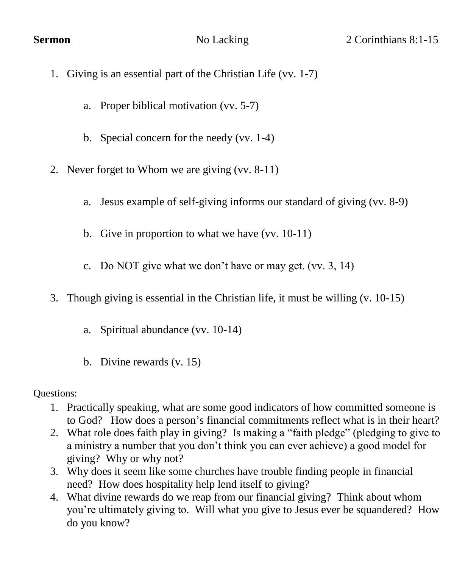- 1. Giving is an essential part of the Christian Life (vv. 1-7)
	- a. Proper biblical motivation (vv. 5-7)
	- b. Special concern for the needy (vv. 1-4)
- 2. Never forget to Whom we are giving (vv. 8-11)
	- a. Jesus example of self-giving informs our standard of giving (vv. 8-9)
	- b. Give in proportion to what we have (vv. 10-11)
	- c. Do NOT give what we don't have or may get. (vv. 3, 14)
- 3. Though giving is essential in the Christian life, it must be willing (v. 10-15)
	- a. Spiritual abundance (vv. 10-14)
	- b. Divine rewards (v. 15)

Questions:

- 1. Practically speaking, what are some good indicators of how committed someone is to God? How does a person's financial commitments reflect what is in their heart?
- 2. What role does faith play in giving? Is making a "faith pledge" (pledging to give to a ministry a number that you don't think you can ever achieve) a good model for giving? Why or why not?
- 3. Why does it seem like some churches have trouble finding people in financial need? How does hospitality help lend itself to giving?
- 4. What divine rewards do we reap from our financial giving? Think about whom you're ultimately giving to. Will what you give to Jesus ever be squandered? How do you know?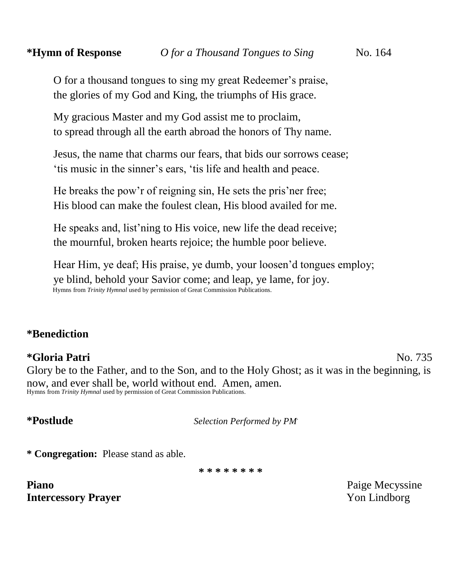O for a thousand tongues to sing my great Redeemer's praise, the glories of my God and King, the triumphs of His grace.

My gracious Master and my God assist me to proclaim, to spread through all the earth abroad the honors of Thy name.

Jesus, the name that charms our fears, that bids our sorrows cease; 'tis music in the sinner's ears, 'tis life and health and peace.

He breaks the pow'r of reigning sin, He sets the pris'ner free; His blood can make the foulest clean, His blood availed for me.

He speaks and, list'ning to His voice, new life the dead receive; the mournful, broken hearts rejoice; the humble poor believe.

Hear Him, ye deaf; His praise, ye dumb, your loosen'd tongues employ; ye blind, behold your Savior come; and leap, ye lame, for joy. Hymns from *Trinity Hymnal* used by permission of Great Commission Publications.

#### **\*Benediction**

#### **\*Gloria Patri** No. 735

Glory be to the Father, and to the Son, and to the Holy Ghost; as it was in the beginning, is now, and ever shall be, world without end. Amen, amen. Hymns from *Trinity Hymnal* used by permission of Great Commission Publications.

**\*Postlude** *Selection Performed by PM*.

**\* Congregation:** Please stand as able.

**\* \* \* \* \* \* \* \***

**Piano Paige Mecyssine Paige Mecyssine Intercessory Prayer** Yon Lindborg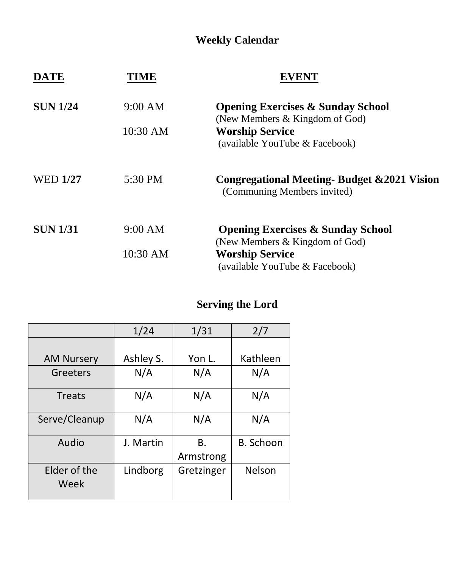## **Weekly Calendar**

| <b>DATE</b>     | TME      | 7 EN T                                                                                     |  |
|-----------------|----------|--------------------------------------------------------------------------------------------|--|
| <b>SUN 1/24</b> | 9:00 AM  | <b>Opening Exercises &amp; Sunday School</b>                                               |  |
|                 | 10:30 AM | (New Members & Kingdom of God)<br><b>Worship Service</b><br>(available YouTube & Facebook) |  |
| <b>WED 1/27</b> | 5:30 PM  | Congregational Meeting Budget & 2021 Vision<br>(Communing Members invited)                 |  |
| <b>SUN 1/31</b> | 9:00 AM  | <b>Opening Exercises &amp; Sunday School</b><br>(New Members & Kingdom of God)             |  |
|                 | 10:30 AM | <b>Worship Service</b><br>(available YouTube & Facebook)                                   |  |

## **Serving the Lord**

|                      | 1/24      | 1/31       | 2/7              |
|----------------------|-----------|------------|------------------|
|                      |           |            |                  |
| <b>AM Nursery</b>    | Ashley S. | Yon L.     | Kathleen         |
| Greeters             | N/A       | N/A        | N/A              |
| <b>Treats</b>        | N/A       | N/A        | N/A              |
| Serve/Cleanup        | N/A       | N/A        | N/A              |
| Audio                | J. Martin | В.         | <b>B.</b> Schoon |
|                      |           | Armstrong  |                  |
| Elder of the<br>Week | Lindborg  | Gretzinger | Nelson           |